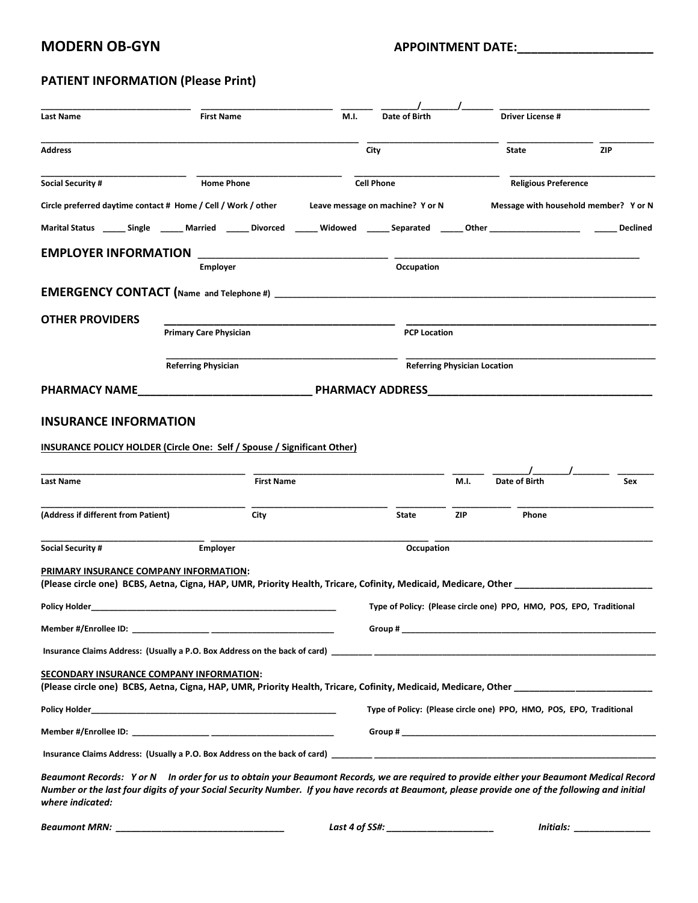### **MODERN OB-GYN APPOINTMENT DATE:**

## **PATIENT INFORMATION (Please Print)**

| Last Name                                                                                                                                                           | <b>First Name</b>             |                   | M.I.                                                                | Date of Birth                                                       |            | Driver License #            |                                                                                                                                                                                                                               |
|---------------------------------------------------------------------------------------------------------------------------------------------------------------------|-------------------------------|-------------------|---------------------------------------------------------------------|---------------------------------------------------------------------|------------|-----------------------------|-------------------------------------------------------------------------------------------------------------------------------------------------------------------------------------------------------------------------------|
|                                                                                                                                                                     |                               |                   |                                                                     |                                                                     |            |                             |                                                                                                                                                                                                                               |
| <b>Address</b>                                                                                                                                                      |                               |                   |                                                                     | City                                                                |            | State                       | <b>ZIP</b>                                                                                                                                                                                                                    |
| <b>Social Security #</b>                                                                                                                                            | <b>Home Phone</b>             |                   |                                                                     | <b>Cell Phone</b>                                                   |            | <b>Religious Preference</b> |                                                                                                                                                                                                                               |
| Circle preferred daytime contact # Home / Cell / Work / other                                                                                                       |                               |                   |                                                                     | Leave message on machine? Y or N                                    |            |                             | Message with household member? Y or N                                                                                                                                                                                         |
| Marital Status ______ Single _______ Married _______ Divorced _______ Widowed ______ Separated ______ Other __________________________                              |                               |                   |                                                                     |                                                                     |            |                             | <b>Declined</b>                                                                                                                                                                                                               |
| <b>EMPLOYER INFORMATION</b>                                                                                                                                         |                               |                   |                                                                     |                                                                     |            |                             |                                                                                                                                                                                                                               |
|                                                                                                                                                                     | <b>Employer</b>               |                   |                                                                     | Occupation                                                          |            |                             |                                                                                                                                                                                                                               |
|                                                                                                                                                                     |                               |                   |                                                                     |                                                                     |            |                             |                                                                                                                                                                                                                               |
| <b>OTHER PROVIDERS</b>                                                                                                                                              |                               |                   |                                                                     |                                                                     |            |                             |                                                                                                                                                                                                                               |
|                                                                                                                                                                     | <b>Primary Care Physician</b> |                   |                                                                     | <b>PCP Location</b>                                                 |            |                             |                                                                                                                                                                                                                               |
|                                                                                                                                                                     | <b>Referring Physician</b>    |                   |                                                                     | <b>Referring Physician Location</b>                                 |            |                             |                                                                                                                                                                                                                               |
|                                                                                                                                                                     |                               |                   |                                                                     |                                                                     |            |                             |                                                                                                                                                                                                                               |
| <b>PHARMACY NAME</b>                                                                                                                                                |                               |                   |                                                                     | <b>PHARMACY ADDRESS Example 20 PHARMACY ADDRESS</b>                 |            |                             |                                                                                                                                                                                                                               |
| <b>INSURANCE INFORMATION</b>                                                                                                                                        |                               |                   |                                                                     |                                                                     |            |                             |                                                                                                                                                                                                                               |
| <b>INSURANCE POLICY HOLDER (Circle One: Self / Spouse / Significant Other)</b>                                                                                      |                               |                   |                                                                     |                                                                     |            |                             |                                                                                                                                                                                                                               |
|                                                                                                                                                                     |                               |                   |                                                                     |                                                                     |            |                             |                                                                                                                                                                                                                               |
| <b>Last Name</b>                                                                                                                                                    |                               | <b>First Name</b> |                                                                     |                                                                     | M.I.       | Date of Birth               | <b>Sex</b>                                                                                                                                                                                                                    |
|                                                                                                                                                                     |                               |                   |                                                                     |                                                                     |            |                             |                                                                                                                                                                                                                               |
| (Address if different from Patient)                                                                                                                                 |                               | City              |                                                                     | State                                                               | <b>ZIP</b> | Phone                       |                                                                                                                                                                                                                               |
| <b>Social Security #</b>                                                                                                                                            | <b>Employer</b>               |                   |                                                                     | Occupation                                                          |            |                             |                                                                                                                                                                                                                               |
| PRIMARY INSURANCE COMPANY INFORMATION:                                                                                                                              |                               |                   |                                                                     |                                                                     |            |                             |                                                                                                                                                                                                                               |
| (Please circle one) BCBS, Aetna, Cigna, HAP, UMR, Priority Health, Tricare, Cofinity, Medicaid, Medicare, Other                                                     |                               |                   |                                                                     |                                                                     |            |                             |                                                                                                                                                                                                                               |
| Policy Holder                                                                                                                                                       |                               |                   |                                                                     | Type of Policy: (Please circle one) PPO, HMO, POS, EPO, Traditional |            |                             |                                                                                                                                                                                                                               |
|                                                                                                                                                                     |                               |                   |                                                                     |                                                                     |            |                             | Group # 2008 Commitment of the Commitment of the Commitment of the Commitment of the Commitment of the Commitment of the Commitment of the Commitment of the Commitment of the Commitment of the Commitment of the Commitment |
|                                                                                                                                                                     |                               |                   |                                                                     |                                                                     |            |                             |                                                                                                                                                                                                                               |
| SECONDARY INSURANCE COMPANY INFORMATION:                                                                                                                            |                               |                   |                                                                     |                                                                     |            |                             |                                                                                                                                                                                                                               |
|                                                                                                                                                                     |                               |                   |                                                                     |                                                                     |            |                             |                                                                                                                                                                                                                               |
|                                                                                                                                                                     |                               |                   | Type of Policy: (Please circle one) PPO, HMO, POS, EPO, Traditional |                                                                     |            |                             |                                                                                                                                                                                                                               |
|                                                                                                                                                                     |                               |                   |                                                                     |                                                                     |            |                             |                                                                                                                                                                                                                               |
|                                                                                                                                                                     |                               |                   |                                                                     |                                                                     |            |                             |                                                                                                                                                                                                                               |
| Beaumont Records: Yor N In order for us to obtain your Beaumont Records, we are required to provide either your Beaumont Medical Record                             |                               |                   |                                                                     |                                                                     |            |                             |                                                                                                                                                                                                                               |
| Number or the last four digits of your Social Security Number. If you have records at Beaumont, please provide one of the following and initial<br>where indicated: |                               |                   |                                                                     |                                                                     |            |                             |                                                                                                                                                                                                                               |
|                                                                                                                                                                     |                               |                   |                                                                     |                                                                     |            |                             |                                                                                                                                                                                                                               |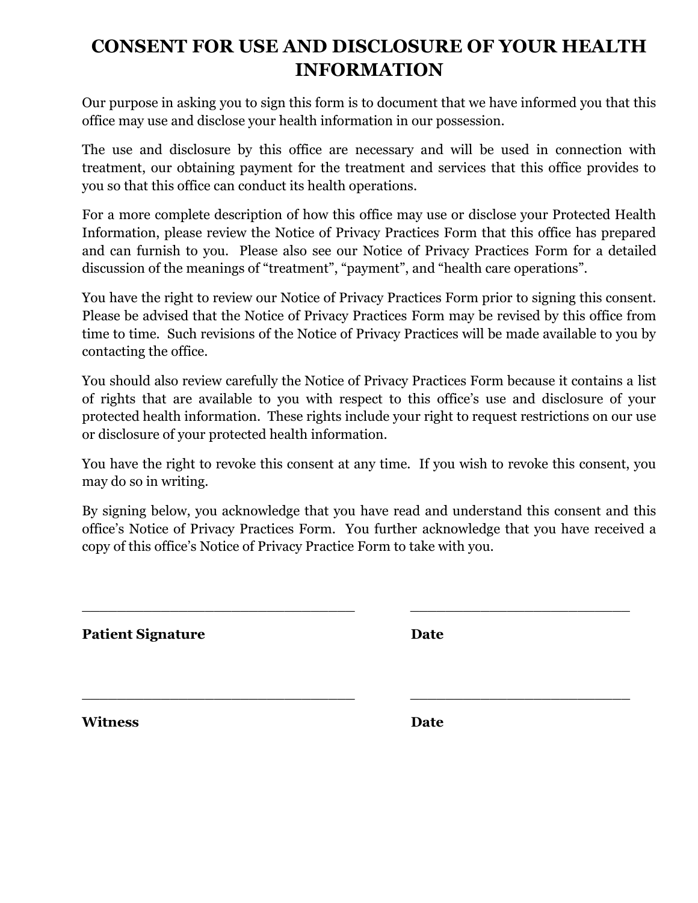# **CONSENT FOR USE AND DISCLOSURE OF YOUR HEALTH INFORMATION**

Our purpose in asking you to sign this form is to document that we have informed you that this office may use and disclose your health information in our possession.

The use and disclosure by this office are necessary and will be used in connection with treatment, our obtaining payment for the treatment and services that this office provides to you so that this office can conduct its health operations.

For a more complete description of how this office may use or disclose your Protected Health Information, please review the Notice of Privacy Practices Form that this office has prepared and can furnish to you. Please also see our Notice of Privacy Practices Form for a detailed discussion of the meanings of "treatment", "payment", and "health care operations".

You have the right to review our Notice of Privacy Practices Form prior to signing this consent. Please be advised that the Notice of Privacy Practices Form may be revised by this office from time to time. Such revisions of the Notice of Privacy Practices will be made available to you by contacting the office.

You should also review carefully the Notice of Privacy Practices Form because it contains a list of rights that are available to you with respect to this office's use and disclosure of your protected health information. These rights include your right to request restrictions on our use or disclosure of your protected health information.

You have the right to revoke this consent at any time. If you wish to revoke this consent, you may do so in writing.

By signing below, you acknowledge that you have read and understand this consent and this office's Notice of Privacy Practices Form. You further acknowledge that you have received a copy of this office's Notice of Privacy Practice Form to take with you.

\_\_\_\_\_\_\_\_\_\_\_\_\_\_\_\_\_\_\_\_\_\_\_\_\_\_\_\_\_\_\_ \_\_\_\_\_\_\_\_\_\_\_\_\_\_\_\_\_\_\_\_\_\_\_\_\_

\_\_\_\_\_\_\_\_\_\_\_\_\_\_\_\_\_\_\_\_\_\_\_\_\_\_\_\_\_\_\_ \_\_\_\_\_\_\_\_\_\_\_\_\_\_\_\_\_\_\_\_\_\_\_\_\_

**Patient Signature** 

| ۰,<br>. .<br>۰.<br>۰,<br>×<br>۰, |
|----------------------------------|
|----------------------------------|

**Witness Date**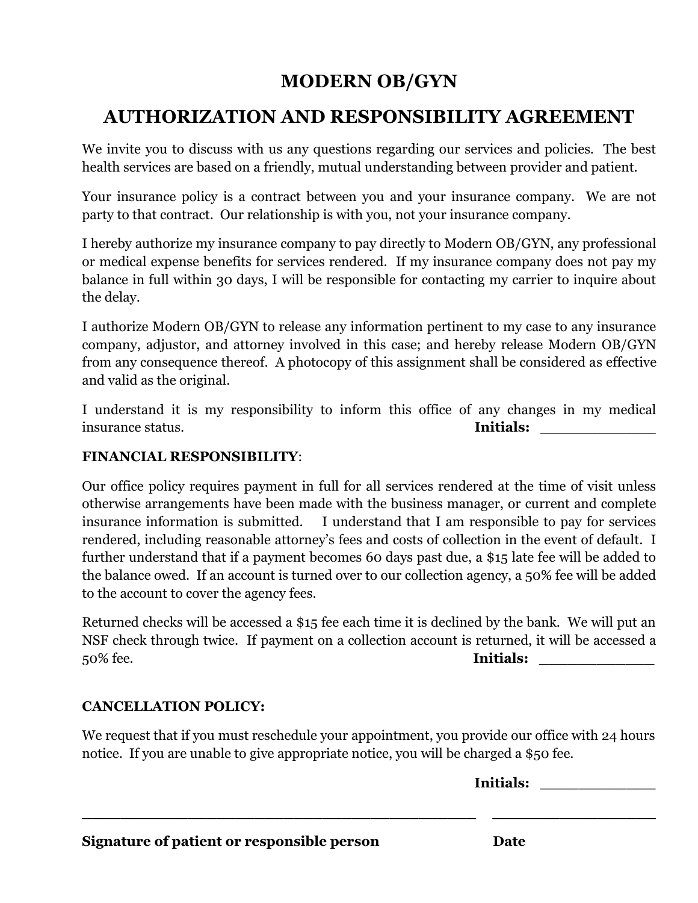# **MODERN OB/GYN**

## **AUTHORIZATION AND RESPONSIBILITY AGREEMENT**

We invite you to discuss with us any questions regarding our services and policies. The best health services are based on a friendly, mutual understanding between provider and patient.

Your insurance policy is a contract between you and your insurance company. We are not party to that contract. Our relationship is with you, not your insurance company.

I hereby authorize my insurance company to pay directly to Modern OB/GYN, any professional or medical expense benefits for services rendered. If my insurance company does not pay my balance in full within 30 days, I will be responsible for contacting my carrier to inquire about the delay.

I authorize Modern OB/GYN to release any information pertinent to my case to any insurance company, adjustor, and attorney involved in this case; and hereby release Modern OB/GYN from any consequence thereof. A photocopy of this assignment shall be considered as effective and valid as the original.

I understand it is my responsibility to inform this office of any changes in my medical insurance status. **Initials:** 

## **FINANCIAL RESPONSIBILITY**:

Our office policy requires payment in full for all services rendered at the time of visit unless otherwise arrangements have been made with the business manager, or current and complete insurance information is submitted. I understand that I am responsible to pay for services rendered, including reasonable attorney's fees and costs of collection in the event of default. I further understand that if a payment becomes 60 days past due, a \$15 late fee will be added to the balance owed. If an account is turned over to our collection agency, a 50% fee will be added to the account to cover the agency fees.

Returned checks will be accessed a \$15 fee each time it is declined by the bank. We will put an NSF check through twice. If payment on a collection account is returned, it will be accessed a 50% fee. **Initials:** 

## **CANCELLATION POLICY:**

We request that if you must reschedule your appointment, you provide our office with 24 hours notice. If you are unable to give appropriate notice, you will be charged a \$50 fee.

|                                            | Initials: |  |
|--------------------------------------------|-----------|--|
|                                            |           |  |
| Signature of patient or responsible person | Date      |  |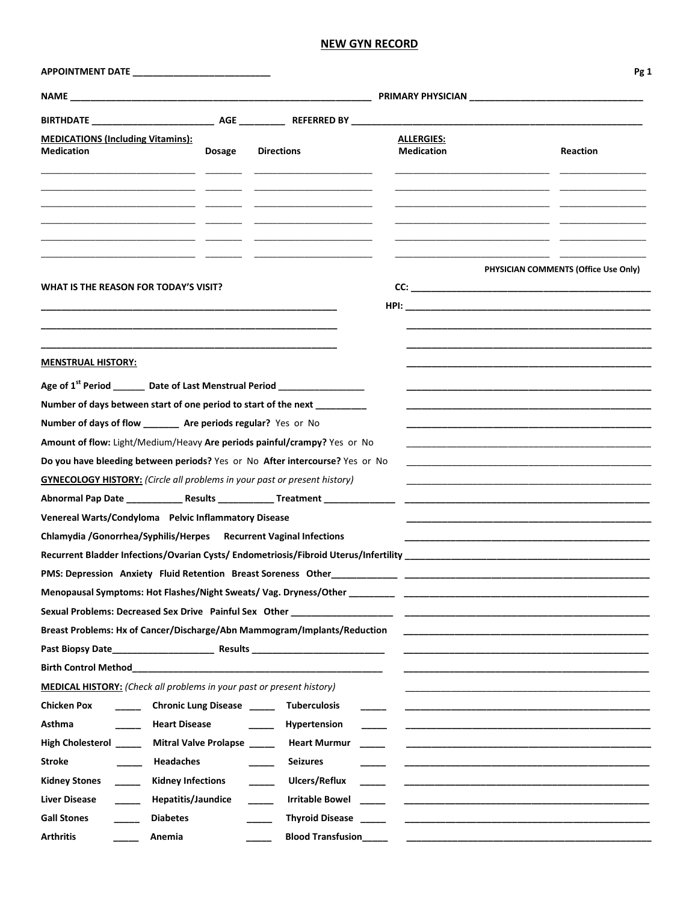#### **NEW GYN RECORD**

|                                                                                       |                              |                                                                                                                      |                                        | Pg 1                                 |
|---------------------------------------------------------------------------------------|------------------------------|----------------------------------------------------------------------------------------------------------------------|----------------------------------------|--------------------------------------|
|                                                                                       |                              |                                                                                                                      | <b>PRIMARY PHYSICIAN</b>               |                                      |
|                                                                                       |                              |                                                                                                                      |                                        |                                      |
| <b>MEDICATIONS (Including Vitamins):</b><br><b>Medication</b>                         | <b>Dosage</b>                | <b>Directions</b>                                                                                                    | <b>ALLERGIES:</b><br><b>Medication</b> | Reaction                             |
|                                                                                       |                              | <u> 1989 - Johann John Harry Harry Harry Harry Harry Harry Harry Harry Harry Harry Harry Harry Harry Harry Harry</u> |                                        |                                      |
| WHAT IS THE REASON FOR TODAY'S VISIT?                                                 |                              |                                                                                                                      |                                        | PHYSICIAN COMMENTS (Office Use Only) |
|                                                                                       |                              |                                                                                                                      |                                        |                                      |
|                                                                                       |                              |                                                                                                                      |                                        |                                      |
|                                                                                       |                              |                                                                                                                      |                                        |                                      |
| <b>MENSTRUAL HISTORY:</b>                                                             |                              |                                                                                                                      |                                        |                                      |
| Age of 1 <sup>st</sup> Period _______ Date of Last Menstrual Period _________________ |                              |                                                                                                                      |                                        |                                      |
| Number of days between start of one period to start of the next _________             |                              |                                                                                                                      |                                        |                                      |
| Number of days of flow _______ Are periods regular? Yes or No                         |                              |                                                                                                                      |                                        |                                      |
| Amount of flow: Light/Medium/Heavy Are periods painful/crampy? Yes or No              |                              |                                                                                                                      |                                        |                                      |
| Do you have bleeding between periods? Yes or No After intercourse? Yes or No          |                              |                                                                                                                      |                                        |                                      |
| <b>GYNECOLOGY HISTORY:</b> (Circle all problems in your past or present history)      |                              |                                                                                                                      |                                        |                                      |
| Abnormal Pap Date _______________ Results _______________ Treatment _____________     |                              |                                                                                                                      |                                        |                                      |
| Venereal Warts/Condyloma Pelvic Inflammatory Disease                                  |                              |                                                                                                                      |                                        |                                      |
| Chlamydia / Gonorrhea/Syphilis/Herpes Recurrent Vaginal Infections                    |                              |                                                                                                                      |                                        |                                      |
|                                                                                       |                              |                                                                                                                      |                                        |                                      |
| PMS: Depression Anxiety Fluid Retention Breast Soreness Other                         |                              |                                                                                                                      |                                        |                                      |
|                                                                                       |                              |                                                                                                                      |                                        |                                      |
|                                                                                       |                              |                                                                                                                      |                                        |                                      |
| Breast Problems: Hx of Cancer/Discharge/Abn Mammogram/Implants/Reduction              |                              |                                                                                                                      |                                        |                                      |
|                                                                                       |                              |                                                                                                                      |                                        |                                      |
|                                                                                       |                              |                                                                                                                      |                                        |                                      |
| <b>MEDICAL HISTORY:</b> (Check all problems in your past or present history)          |                              |                                                                                                                      |                                        |                                      |
| <b>Chicken Pox</b>                                                                    | <b>Chronic Lung Disease</b>  | <b>Tuberculosis</b>                                                                                                  |                                        |                                      |
| Asthma<br><b>Heart Disease</b>                                                        |                              | Hypertension                                                                                                         |                                        |                                      |
| <b>High Cholesterol</b>                                                               | <b>Mitral Valve Prolapse</b> | <b>Heart Murmur</b>                                                                                                  |                                        |                                      |
| <b>Headaches</b><br><b>Stroke</b>                                                     |                              | <b>Seizures</b>                                                                                                      |                                        |                                      |
| <b>Kidney Infections</b><br>Kidney Stones                                             |                              | Ulcers/Reflux                                                                                                        |                                        |                                      |
| Liver Disease<br>Hepatitis/Jaundice                                                   |                              | <b>Irritable Bowel</b>                                                                                               |                                        |                                      |
| <b>Gall Stones</b><br><b>Diabetes</b>                                                 |                              | <b>Thyroid Disease</b>                                                                                               |                                        |                                      |
| <b>Arthritis</b><br>Anemia                                                            |                              | <b>Blood Transfusion</b>                                                                                             |                                        |                                      |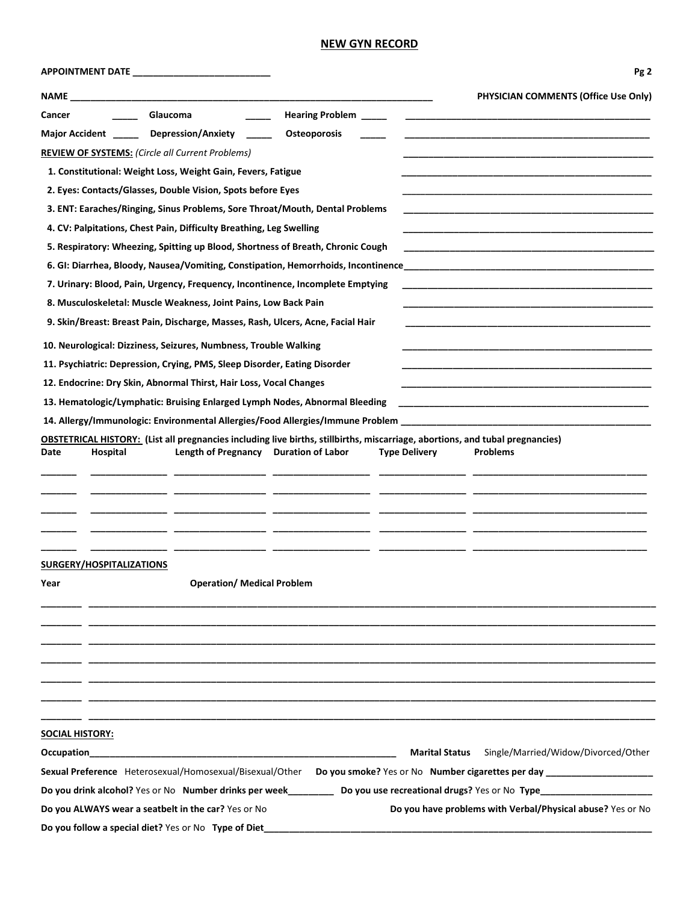#### **NEW GYN RECORD**

|  |  |  | APPOINTMENT DATE |
|--|--|--|------------------|
|--|--|--|------------------|

| <b>APPOINTMENT DATE</b>                                                                                                                 | Pg <sub>2</sub>                                                                                                      |
|-----------------------------------------------------------------------------------------------------------------------------------------|----------------------------------------------------------------------------------------------------------------------|
| <b>NAME NAME</b>                                                                                                                        | PHYSICIAN COMMENTS (Office Use Only)                                                                                 |
| Hearing Problem _____<br>Glaucoma<br>Cancer                                                                                             | <u> 1980 - John Stein, Amerikaansk politiker (</u> † 1920)                                                           |
| Major Accident ______ Depression/Anxiety _____<br>Osteoporosis                                                                          |                                                                                                                      |
| <b>REVIEW OF SYSTEMS:</b> (Circle all Current Problems)                                                                                 |                                                                                                                      |
| 1. Constitutional: Weight Loss, Weight Gain, Fevers, Fatigue                                                                            |                                                                                                                      |
| 2. Eyes: Contacts/Glasses, Double Vision, Spots before Eyes                                                                             |                                                                                                                      |
| 3. ENT: Earaches/Ringing, Sinus Problems, Sore Throat/Mouth, Dental Problems                                                            |                                                                                                                      |
| 4. CV: Palpitations, Chest Pain, Difficulty Breathing, Leg Swelling                                                                     |                                                                                                                      |
| 5. Respiratory: Wheezing, Spitting up Blood, Shortness of Breath, Chronic Cough                                                         |                                                                                                                      |
|                                                                                                                                         |                                                                                                                      |
| 7. Urinary: Blood, Pain, Urgency, Frequency, Incontinence, Incomplete Emptying                                                          |                                                                                                                      |
| 8. Musculoskeletal: Muscle Weakness, Joint Pains, Low Back Pain                                                                         |                                                                                                                      |
| 9. Skin/Breast: Breast Pain, Discharge, Masses, Rash, Ulcers, Acne, Facial Hair                                                         |                                                                                                                      |
| 10. Neurological: Dizziness, Seizures, Numbness, Trouble Walking                                                                        |                                                                                                                      |
| 11. Psychiatric: Depression, Crying, PMS, Sleep Disorder, Eating Disorder                                                               |                                                                                                                      |
| 12. Endocrine: Dry Skin, Abnormal Thirst, Hair Loss, Vocal Changes                                                                      |                                                                                                                      |
| 13. Hematologic/Lymphatic: Bruising Enlarged Lymph Nodes, Abnormal Bleeding                                                             | <u> 1980 - Jan James James James James James James James James James James James James James James James James J</u> |
|                                                                                                                                         |                                                                                                                      |
| <b>OBSTETRICAL HISTORY:</b> (List all pregnancies including live births, stillbirths, miscarriage, abortions, and tubal pregnancies)    |                                                                                                                      |
| Length of Pregnancy Duration of Labor<br>Hospital<br>Date                                                                               | <b>Type Delivery</b><br><b>Problems</b>                                                                              |
|                                                                                                                                         |                                                                                                                      |
|                                                                                                                                         |                                                                                                                      |
|                                                                                                                                         |                                                                                                                      |
|                                                                                                                                         |                                                                                                                      |
|                                                                                                                                         |                                                                                                                      |
| SURGERY/HOSPITALIZATIONS                                                                                                                |                                                                                                                      |
| <b>Operation/ Medical Problem</b><br>Year                                                                                               |                                                                                                                      |
|                                                                                                                                         |                                                                                                                      |
|                                                                                                                                         |                                                                                                                      |
|                                                                                                                                         |                                                                                                                      |
|                                                                                                                                         |                                                                                                                      |
|                                                                                                                                         |                                                                                                                      |
|                                                                                                                                         |                                                                                                                      |
|                                                                                                                                         |                                                                                                                      |
| <b>SOCIAL HISTORY:</b>                                                                                                                  |                                                                                                                      |
| Occupation<br><u> 1989 - Johann Harry Harry Harry Harry Harry Harry Harry Harry Harry Harry Harry Harry Harry Harry Harry Harry</u>     | Single/Married/Widow/Divorced/Other<br><b>Marital Status</b>                                                         |
| Sexual Preference Heterosexual/Homosexual/Bisexual/Other Do you smoke? Yes or No Number cigarettes per day ____________________________ |                                                                                                                      |
| Do you drink alcohol? Yes or No Number drinks per week________                                                                          | Do you use recreational drugs? Yes or No Type_____________                                                           |
| Do you ALWAYS wear a seatbelt in the car? Yes or No                                                                                     | Do you have problems with Verbal/Physical abuse? Yes or No                                                           |
| Do you follow a special diet? Yes or No Type of Diet                                                                                    |                                                                                                                      |